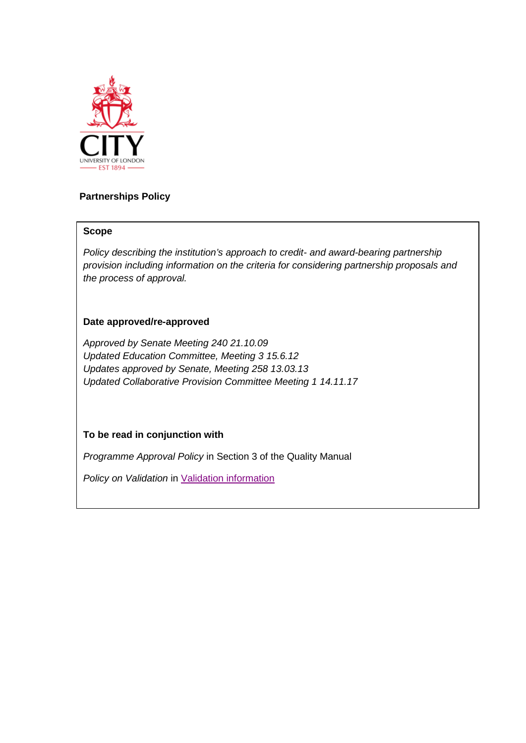

# **Partnerships Policy**

## **Scope**

*Policy describing the institution's approach to credit- and award-bearing partnership provision including information on the criteria for considering partnership proposals and the process of approval.*

# **Date approved/re-approved**

*Approved by Senate Meeting 240 21.10.09 Updated Education Committee, Meeting 3 15.6.12 Updates approved by Senate, Meeting 258 13.03.13 Updated Collaborative Provision Committee Meeting 1 14.11.17*

# **To be read in conjunction with**

*Programme Approval Policy* in Section 3 of the Quality Manual

*Policy on Validation* in [Validation information](http://www.city.ac.uk/about/education/academic-services/validation-and-partnerships/validation)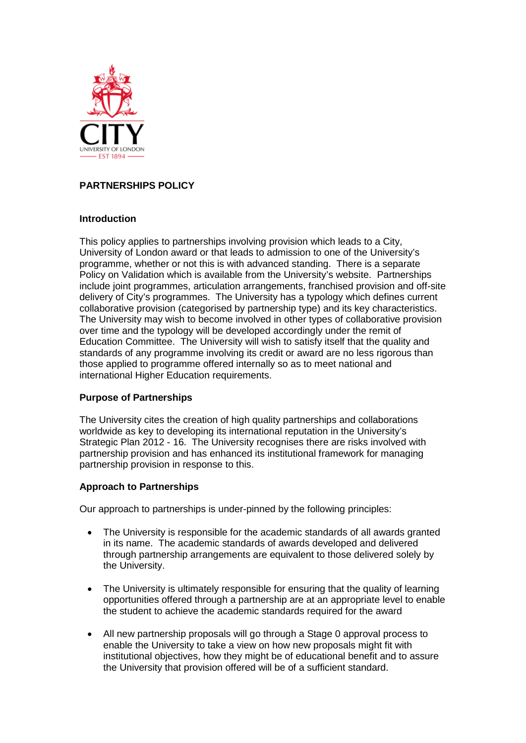

# **PARTNERSHIPS POLICY**

## **Introduction**

This policy applies to partnerships involving provision which leads to a City, University of London award or that leads to admission to one of the University's programme, whether or not this is with advanced standing. There is a separate Policy on Validation which is available from the University's website. Partnerships include joint programmes, articulation arrangements, franchised provision and off-site delivery of City's programmes. The University has a typology which defines current collaborative provision (categorised by partnership type) and its key characteristics. The University may wish to become involved in other types of collaborative provision over time and the typology will be developed accordingly under the remit of Education Committee. The University will wish to satisfy itself that the quality and standards of any programme involving its credit or award are no less rigorous than those applied to programme offered internally so as to meet national and international Higher Education requirements.

## **Purpose of Partnerships**

The University cites the creation of high quality partnerships and collaborations worldwide as key to developing its international reputation in the University's Strategic Plan 2012 - 16. The University recognises there are risks involved with partnership provision and has enhanced its institutional framework for managing partnership provision in response to this.

## **Approach to Partnerships**

Our approach to partnerships is under-pinned by the following principles:

- The University is responsible for the academic standards of all awards granted in its name. The academic standards of awards developed and delivered through partnership arrangements are equivalent to those delivered solely by the University.
- The University is ultimately responsible for ensuring that the quality of learning opportunities offered through a partnership are at an appropriate level to enable the student to achieve the academic standards required for the award
- All new partnership proposals will go through a Stage 0 approval process to enable the University to take a view on how new proposals might fit with institutional objectives, how they might be of educational benefit and to assure the University that provision offered will be of a sufficient standard.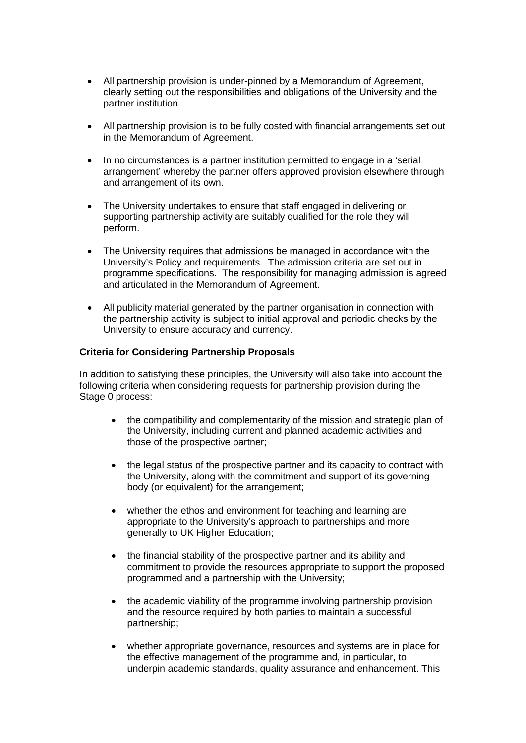- All partnership provision is under-pinned by a Memorandum of Agreement, clearly setting out the responsibilities and obligations of the University and the partner institution.
- All partnership provision is to be fully costed with financial arrangements set out in the Memorandum of Agreement.
- In no circumstances is a partner institution permitted to engage in a 'serial arrangement' whereby the partner offers approved provision elsewhere through and arrangement of its own.
- The University undertakes to ensure that staff engaged in delivering or supporting partnership activity are suitably qualified for the role they will perform.
- The University requires that admissions be managed in accordance with the University's Policy and requirements. The admission criteria are set out in programme specifications. The responsibility for managing admission is agreed and articulated in the Memorandum of Agreement.
- All publicity material generated by the partner organisation in connection with the partnership activity is subject to initial approval and periodic checks by the University to ensure accuracy and currency.

### **Criteria for Considering Partnership Proposals**

In addition to satisfying these principles, the University will also take into account the following criteria when considering requests for partnership provision during the Stage 0 process:

- the compatibility and complementarity of the mission and strategic plan of the University, including current and planned academic activities and those of the prospective partner;
- the legal status of the prospective partner and its capacity to contract with the University, along with the commitment and support of its governing body (or equivalent) for the arrangement;
- whether the ethos and environment for teaching and learning are appropriate to the University's approach to partnerships and more generally to UK Higher Education;
- the financial stability of the prospective partner and its ability and commitment to provide the resources appropriate to support the proposed programmed and a partnership with the University;
- the academic viability of the programme involving partnership provision and the resource required by both parties to maintain a successful partnership;
- whether appropriate governance, resources and systems are in place for the effective management of the programme and, in particular, to underpin academic standards, quality assurance and enhancement. This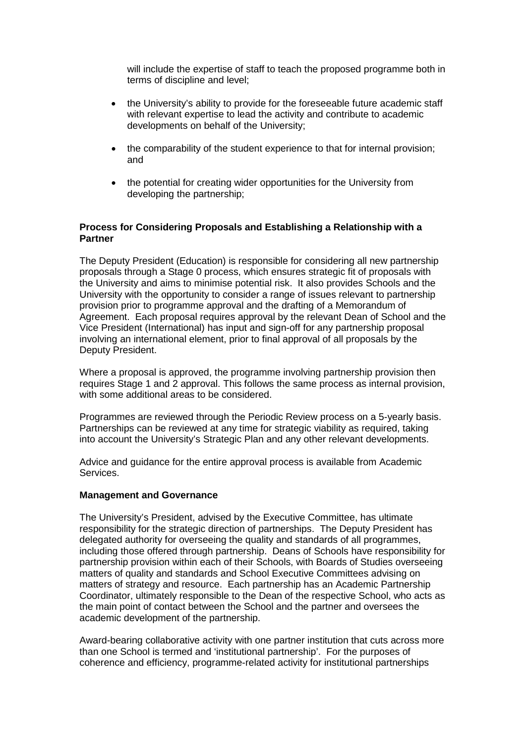will include the expertise of staff to teach the proposed programme both in terms of discipline and level;

- the University's ability to provide for the foreseeable future academic staff with relevant expertise to lead the activity and contribute to academic developments on behalf of the University;
- the comparability of the student experience to that for internal provision; and
- the potential for creating wider opportunities for the University from developing the partnership;

## **Process for Considering Proposals and Establishing a Relationship with a Partner**

The Deputy President (Education) is responsible for considering all new partnership proposals through a Stage 0 process, which ensures strategic fit of proposals with the University and aims to minimise potential risk. It also provides Schools and the University with the opportunity to consider a range of issues relevant to partnership provision prior to programme approval and the drafting of a Memorandum of Agreement. Each proposal requires approval by the relevant Dean of School and the Vice President (International) has input and sign-off for any partnership proposal involving an international element, prior to final approval of all proposals by the Deputy President.

Where a proposal is approved, the programme involving partnership provision then requires Stage 1 and 2 approval. This follows the same process as internal provision, with some additional areas to be considered.

Programmes are reviewed through the Periodic Review process on a 5-yearly basis. Partnerships can be reviewed at any time for strategic viability as required, taking into account the University's Strategic Plan and any other relevant developments.

Advice and guidance for the entire approval process is available from Academic Services.

#### **Management and Governance**

The University's President, advised by the Executive Committee, has ultimate responsibility for the strategic direction of partnerships. The Deputy President has delegated authority for overseeing the quality and standards of all programmes, including those offered through partnership. Deans of Schools have responsibility for partnership provision within each of their Schools, with Boards of Studies overseeing matters of quality and standards and School Executive Committees advising on matters of strategy and resource. Each partnership has an Academic Partnership Coordinator, ultimately responsible to the Dean of the respective School, who acts as the main point of contact between the School and the partner and oversees the academic development of the partnership.

Award-bearing collaborative activity with one partner institution that cuts across more than one School is termed and 'institutional partnership'. For the purposes of coherence and efficiency, programme-related activity for institutional partnerships